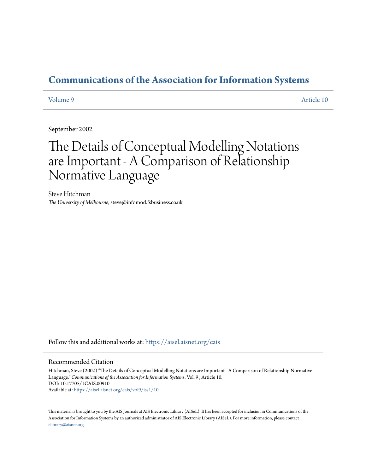# **[Communications of the Association for Information Systems](https://aisel.aisnet.org/cais?utm_source=aisel.aisnet.org%2Fcais%2Fvol9%2Fiss1%2F10&utm_medium=PDF&utm_campaign=PDFCoverPages)**

[Volume 9](https://aisel.aisnet.org/cais/vol9?utm_source=aisel.aisnet.org%2Fcais%2Fvol9%2Fiss1%2F10&utm_medium=PDF&utm_campaign=PDFCoverPages) [Article 10](https://aisel.aisnet.org/cais/vol9/iss1/10?utm_source=aisel.aisnet.org%2Fcais%2Fvol9%2Fiss1%2F10&utm_medium=PDF&utm_campaign=PDFCoverPages)

September 2002

# The Details of Conceptual Modelling Notations are Important - A Comparison of Relationship Normative Language

Steve Hitchman *The University of Melbourne*, steve@infomod.fsbusiness.co.uk

Follow this and additional works at: [https://aisel.aisnet.org/cais](https://aisel.aisnet.org/cais?utm_source=aisel.aisnet.org%2Fcais%2Fvol9%2Fiss1%2F10&utm_medium=PDF&utm_campaign=PDFCoverPages)

#### Recommended Citation

Hitchman, Steve (2002) "The Details of Conceptual Modelling Notations are Important - A Comparison of Relationship Normative Language," *Communications of the Association for Information Systems*: Vol. 9 , Article 10. DOI: 10.17705/1CAIS.00910 Available at: [https://aisel.aisnet.org/cais/vol9/iss1/10](https://aisel.aisnet.org/cais/vol9/iss1/10?utm_source=aisel.aisnet.org%2Fcais%2Fvol9%2Fiss1%2F10&utm_medium=PDF&utm_campaign=PDFCoverPages)

This material is brought to you by the AIS Journals at AIS Electronic Library (AISeL). It has been accepted for inclusion in Communications of the Association for Information Systems by an authorized administrator of AIS Electronic Library (AISeL). For more information, please contact [elibrary@aisnet.org.](mailto:elibrary@aisnet.org%3E)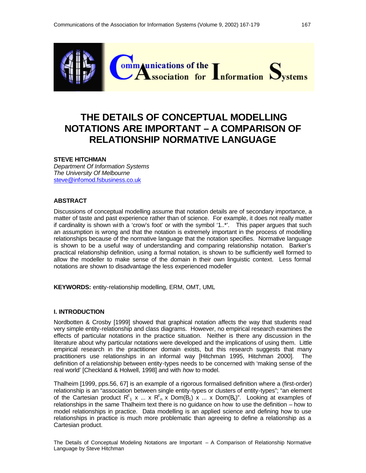

# **THE DETAILS OF CONCEPTUAL MODELLING NOTATIONS ARE IMPORTANT – A COMPARISON OF RELATIONSHIP NORMATIVE LANGUAGE**

#### **STEVE HITCHMAN**

*Department Of Information Systems The University Of Melbourne* steve@infomod.fsbusiness.co.uk

#### **ABSTRACT**

Discussions of conceptual modelling assume that notation details are of secondary importance, a matter of taste and past experience rather than of science. For example, it does not really matter if cardinality is shown with a 'crow's foot' or with the symbol '1..\*'. This paper argues that such an assumption is wrong and that the notation is extremely important in the process of modelling relationships because of the normative language that the notation specifies. Normative language is shown to be a useful way of understanding and comparing relationship notation. Barker's practical relationship definition, using a formal notation, is shown to be sufficiently well formed to allow the modeller to make sense of the domain in their own linguistic context. Less formal notations are shown to disadvantage the less experienced modeller

**KEYWORDS:** entity-relationship modelling, ERM, OMT, UML

#### **I. INTRODUCTION**

Nordbotten & Crosby [1999] showed that graphical notation affects the way that students read very simple entity-relationship and class diagrams. However, no empirical research examines the effects of particular notations in the practice situation. Neither is there any discussion in the literature about why particular notations were developed and the implications of using them. Little empirical research in the practitioner domain exists, but this research suggests that many practitioners use relationships in an informal way [Hitchman 1995, Hitchman 2000]. The definition of a relationship between entity-types needs to be concerned with 'making sense of the real world' [Checkland & Holwell, 1998] and with *how* to model.

Thalheim [1999, pps.56, 67] is an example of a rigorous formalised definition where a (first-order) relationship is an "association between single entity-types or clusters of entity-types"; "an element of the Cartesian product  $R^c{}_1 x ... x R^c{}_n x$  Dom $(\dot{B}_1)x ... x$  Dom $(B_k)$ ". Looking at examples of relationships in the same Thalheim text there is no guidance on how to use the definition – how to model relationships in practice. Data modelling is an applied science and defining how to use relationships in practice is much more problematic than agreeing to define a relationship as a Cartesian product.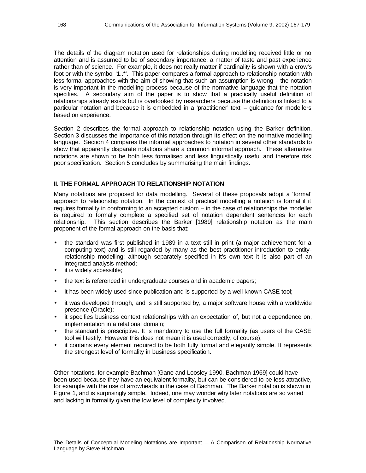The details of the diagram notation used for relationships during modelling received little or no attention and is assumed to be of secondary importance, a matter of taste and past experience rather than of science. For example, it does not really matter if cardinality is shown with a crow's foot or with the symbol '1..\*'. This paper compares a formal approach to relationship notation with less formal approaches with the aim of showing that such an assumption is wrong - the notation is very important in the modelling process because of the normative language that the notation specifies. A secondary aim of the paper is to show that a practically useful definition of relationships already exists but is overlooked by researchers because the definition is linked to a particular notation and because it is embedded in a 'practitioner' text – guidance for modellers based on experience.

Section 2 describes the formal approach to relationship notation using the Barker definition. Section 3 discusses the importance of this notation through its effect on the normative modelling language. Section 4 compares the informal approaches to notation in several other standards to show that apparently disparate notations share a common informal approach. These alternative notations are shown to be both less formalised and less linguistically useful and therefore risk poor specification. Section 5 concludes by summarising the main findings.

#### **II. THE FORMAL APPROACH TO RELATIONSHIP NOTATION**

Many notations are proposed for data modelling. Several of these proposals adopt a 'formal' approach to relationship notation. In the context of practical modelling a notation is formal if it requires formality in conforming to an accepted custom – in the case of relationships the modeller is required to formally complete a specified set of notation dependent sentences for each relationship. This section describes the Barker [1989] relationship notation as the main proponent of the formal approach on the basis that:

- the standard was first published in 1989 in a text still in print (a major achievement for a computing text) and is still regarded by many as the best practitioner introduction to entityrelationship modelling; although separately specified in it's own text it is also part of an integrated analysis method;
- it is widely accessible;
- the text is referenced in undergraduate courses and in academic papers;
- it has been widely used since publication and is supported by a well known CASE tool;
- it was developed through, and is still supported by, a major software house with a worldwide presence (Oracle);
- it specifies business context relationships with an expectation of, but not a dependence on, implementation in a relational domain;
- the standard is prescriptive. It is mandatory to use the full formality (as users of the CASE tool will testify. However this does not mean it is used correctly, of course);
- it contains every element required to be both fully formal and elegantly simple. It represents the strongest level of formality in business specification.

Other notations, for example Bachman [Gane and Loosley 1990, Bachman 1969] could have been used because they have an equivalent formality, but can be considered to be less attractive, for example with the use of arrowheads in the case of Bachman. The Barker notation is shown in Figure 1, and is surprisingly simple. Indeed, one may wonder why later notations are so varied and lacking in formality given the low level of complexity involved.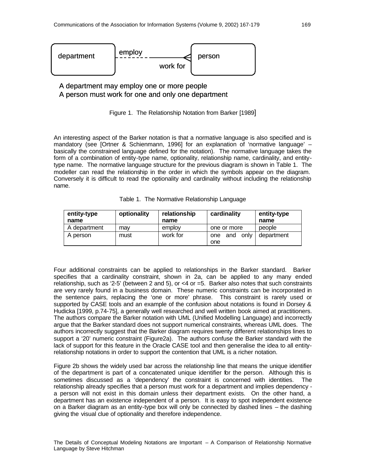

### A department may employ one or more people A person must work for one and only one department



An interesting aspect of the Barker notation is that a normative language is also specified and is mandatory (see [Ortner & Schienmann, 1996] for an explanation of 'normative language' – basically the constrained language defined for the notation). The normative language takes the form of a combination of entity-type name, optionality, relationship name, cardinality, and entitytype name. The normative language structure for the previous diagram is shown in Table 1. The modeller can read the relationship in the order in which the symbols appear on the diagram. Conversely it is difficult to read the optionality and cardinality without including the relationship name.

|  | Table 1. The Normative Relationship Language |  |  |
|--|----------------------------------------------|--|--|
|--|----------------------------------------------|--|--|

| entity-type  | optionality | relationship | cardinality        | entity-type |
|--------------|-------------|--------------|--------------------|-------------|
| name         |             | name         |                    | name        |
| A department | mav         | employ       | one or more        | people      |
| A person     | must        | work for     | only<br>and<br>one | department  |
|              |             |              | one                |             |

Four additional constraints can be applied to relationships in the Barker standard. Barker specifies that a cardinality constraint, shown in 2a, can be applied to any many ended relationship, such as '2-5' (between 2 and 5), or <4 or =5. Barker also notes that such constraints are very rarely found in a business domain. These numeric constraints can be incorporated in the sentence pairs, replacing the 'one or more' phrase. This constraint is rarely used or supported by CASE tools and an example of the confusion about notations is found in Dorsey & Hudicka [1999, p.74-75], a generally well researched and well written book aimed at practitioners. The authors compare the Barker notation with UML (Unified Modelling Language) and incorrectly argue that the Barker standard does not support numerical constraints, whereas UML does. The authors incorrectly suggest that the Barker diagram requires twenty different relationships lines to support a '20' numeric constraint (Figure2a). The authors confuse the Barker standard with the lack of support for this feature in the Oracle CASE tool and then generalise the idea to all entityrelationship notations in order to support the contention that UML is a richer notation.

Figure 2b shows the widely used bar across the relationship line that means the unique identifier of the department is part of a concatenated unique identifier for the person. Although this is sometimes discussed as a 'dependency' the constraint is concerned with identities. The relationship already specifies that a person must work for a department and implies dependency a person will not exist in this domain unless their department exists. On the other hand, a department has an existence independent of a person. It is easy to spot independent existence on a Barker diagram as an entity-type box will only be connected by dashed lines – the dashing giving the visual clue of optionality and therefore independence.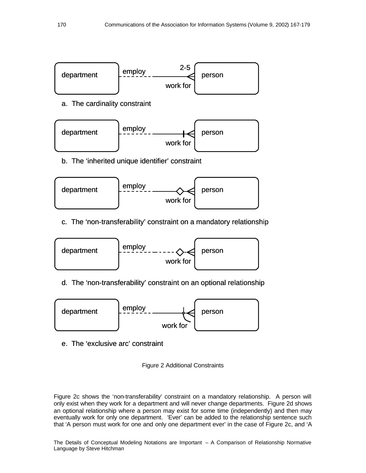

a. The cardinality constraint



b. The 'inherited unique identifier' constraint



c. The 'non-transferability' constraint on a mandatory relationship



d. The 'non-transferability' constraint on an optional relationship



e. The 'exclusive arc' constraint



Figure 2c shows the 'non-transferability' constraint on a mandatory relationship. A person will only exist when they work for a department and will never change departments. Figure 2d shows an optional relationship where a person may exist for some time (independently) and then may eventually work for only one department. 'Ever' can be added to the relationship sentence such that 'A person must work for one and only one department ever' in the case of Figure 2c, and 'A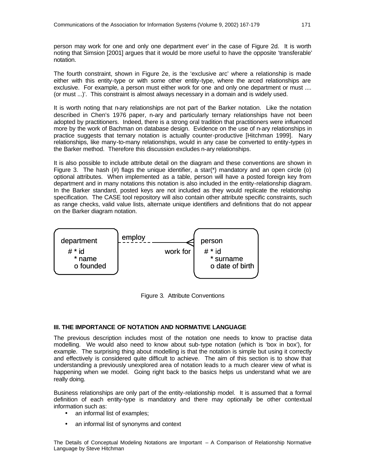person may work for one and only one department ever' in the case of Figure 2d. It is worth noting that Simsion [2001] argues that it would be more useful to have the opposite 'transferable' notation.

The fourth constraint, shown in Figure 2e, is the 'exclusive arc' where a relationship is made either with this entity-type or with some other entity-type, where the arced relationships are exclusive. For example, a person must either work for one and only one department or must .... (or must ...)'. This constraint is almost always necessary in a domain and is widely used.

It is worth noting that n-ary relationships are not part of the Barker notation. Like the notation described in Chen's 1976 paper, n-ary and particularly ternary relationships have not been adopted by practitioners. Indeed, there is a strong oral tradition that practitioners were influenced more by the work of Bachman on database design. Evidence on the use of n-ary relationships in practice suggests that ternary notation is actually counter-productive [Hitchman 1999]. Nary relationships, like many-to-many relationships, would in any case be converted to entity-types in the Barker method. Therefore this discussion excludes n-ary relationships.

It is also possible to include attribute detail on the diagram and these conventions are shown in Figure 3. The hash (#) flags the unique identifier, a star( $*$ ) mandatory and an open circle (o) optional attributes. When implemented as a table, person will have a posted foreign key from department and in many notations this notation is also included in the entity-relationship diagram. In the Barker standard, posted keys are not included as they would replicate the relationship specification. The CASE tool repository will also contain other attribute specific constraints, such as range checks, valid value lists, alternate unique identifiers and definitions that do not appear on the Barker diagram notation.



Figure 3. Attribute Conventions

#### **III. THE IMPORTANCE OF NOTATION AND NORMATIVE LANGUAGE**

The previous description includes most of the notation one needs to know to practise data modelling. We would also need to know about sub-type notation (which is 'box in box'), for example. The surprising thing about modelling is that the notation is simple but using it correctly and effectively is considered quite difficult to achieve. The aim of this section is to show that understanding a previously unexplored area of notation leads to a much clearer view of what is happening when we model. Going right back to the basics helps us understand what we are really doing.

Business relationships are only part of the entity-relationship model. It is assumed that a formal definition of each entity-type is mandatory and there may optionally be other contextual information such as:

- an informal list of examples;
- an informal list of synonyms and context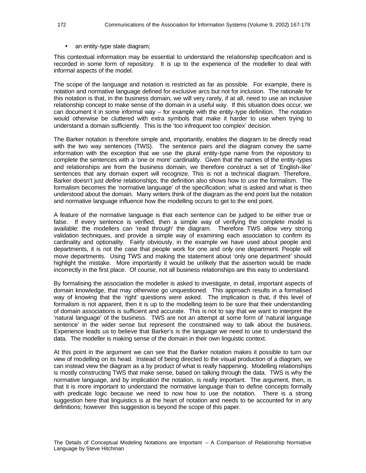• an entity-type state diagram;

This contextual information may be essential to understand the relationship specification and is recorded in some form of repository. It is up to the experience of the modeller to deal with informal aspects of the model.

The scope of the language and notation is restricted as far as possible. For example, there is notation and normative language defined for exclusive arcs but not for inclusion. The rationale for this notation is that, in the business domain, we will very rarely, if at all, need to use an inclusive relationship concept to make sense of the domain in a useful way. If this situation does occur, we can document it in some informal way – for example with the entity-type definition. The notation would otherwise be cluttered with extra symbols that make it harder to use when trying to understand a domain sufficiently. This is the 'too infrequent too complex' decision.

The Barker notation is therefore simple and, importantly, enables the diagram to be directly read with the two way sentences (TWS). The sentence pairs and the diagram convey the *same* information with the exception that we use the plural entity-type name from the repository to complete the sentences with a 'one or more' cardinality. Given that the names of the entity-types and relationships are from the business domain, we therefore construct a set of 'English-like' sentences that any domain expert will recognize. This is not a technical diagram. Therefore, Barker doesn't just *define* relationships; the definition also shows how to *use* the formalism. The formalism becomes the 'normative language' of the specification; what is asked and what is then understood about the domain. Many writers think of the diagram as the end point but the notation and normative language influence how the modelling occurs to get to the end point.

A feature of the normative language is that each sentence can be judged to be either true or false. If every sentence is verified, then a simple way of verifying the complete model is available: the modellers can 'read through' the diagram. Therefore TWS allow very strong validation techniques, and provide a simple way of examining each association to confirm its cardinality and optionality. Fairly obviously, in the example we have used about people and departments, it is not the case that people work for one and only one department. People will move departments. Using TWS and making the statement about 'only one department' should highlight the mistake. More importantly it would be unlikely that the assertion would be made incorrectly in the first place. Of course, not all business relationships are this easy to understand.

By formalising the association the modeller is asked to investigate, in detail, important aspects of domain knowledge, that may otherwise go unquestioned. This approach results in a formalised way of knowing that the 'right' questions were asked. The implication is that, if this level of formalism is not apparent, then it is up to the modelling team to be sure that their understanding of domain associations is sufficient and accurate. This is not to say that we want to interpret the 'natural language' of the business. TWS are not an attempt at some form of 'natural language sentence' in the wider sense but represent the constrained way to talk about the business. Experience leads us to believe that Barker's is the language we need to use to understand the data. The modeller is making sense of the domain in their own linguistic context.

At this point in the argument we can see that the Barker notation makes it possible to turn our view of modelling on its head. Instead of being directed to the visual production of a diagram, we can instead view the diagram as a by product of what is really happening. Modelling relationships is mostly constructing TWS that make sense, based on talking through the data. TWS is why the normative language, and by implication the notation, is really important. The argument, then, is that it is more important to understand the normative language than to define concepts formally with predicate logic because we need to now how to use the notation. There is a strong suggestion here that linguistics is at the heart of notation and needs to be accounted for in any definitions; however this suggestion is beyond the scope of this paper.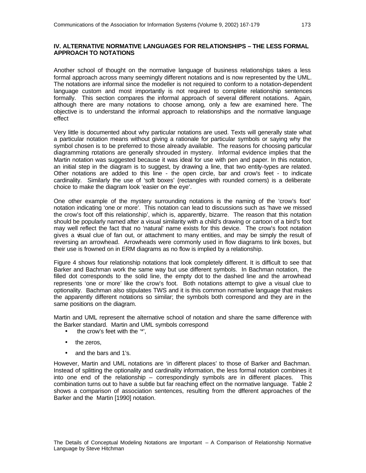#### **IV. ALTERNATIVE NORMATIVE LANGUAGES FOR RELATIONSHIPS – THE LESS FORMAL APPROACH TO NOTATIONS**

Another school of thought on the normative language of business relationships takes a less formal approach across many seemingly different notations and is now represented by the UML. The notations are informal since the modeller is not required to conform to a notation-dependent language custom and most importantly is not required to complete relationship sentences formally. This section compares the informal approach of several different notations. Again, although there are many notations to choose among, only a few are examined here. The objective is to understand the informal approach to relationships and the normative language effect

Very little is documented about why particular notations are used. Texts will generally state what a particular notation means without giving a rationale for particular symbols or saying why the symbol chosen is to be preferred to those already available. The reasons for choosing particular diagramming notations are generally shrouded in mystery. Informal evidence implies that the Martin notation was suggested because it was ideal for use with pen and paper. In this notation, an initial step in the diagram is to suggest, by drawing a line, that two entity-types are related. Other notations are added to this line - the open circle, bar and crow's feet - to indicate cardinality. Similarly the use of 'soft boxes' (rectangles with rounded corners) is a deliberate choice to make the diagram look 'easier on the eye'.

One other example of the mystery surrounding notations is the naming of the 'crow's foot' notation indicating 'one or more'. This notation can lead to discussions such as 'have we missed the crow's foot off this relationship', which is, apparently, bizarre. The reason that this notation should be popularly named after a visual similarity with a child's drawing or cartoon of a bird's foot may well reflect the fact that no 'natural' name exists for this device. The crow's foot notation gives a visual clue of fan out, or attachment to many entities, and may be simply the result of reversing an arrowhead. Arrowheads were commonly used in flow diagrams to link boxes, but their use is frowned on in ERM diagrams as no flow is implied by a relationship.

Figure 4 shows four relationship notations that look completely different. It is difficult to see that Barker and Bachman work the same way but use different symbols. In Bachman notation, the filled dot corresponds to the solid line, the empty dot to the dashed line and the arrowhead represents 'one or more' like the crow's foot. Both notations attempt to give a visual clue to optionality. Bachman also stipulates TWS and it is this common normative language that makes the apparently different notations so similar; the symbols both correspond and they are in the same positions on the diagram.

Martin and UML represent the alternative school of notation and share the same difference with the Barker standard. Martin and UML symbols correspond

- the crow's feet with the "\*",
- the zeros,
- and the bars and 1's.

However, Martin and UML notations are 'in different places' to those of Barker and Bachman. Instead of splitting the optionality and cardinality information, the less formal notation combines it into one end of the relationship – correspondingly symbols are in different places. This combination turns out to have a subtle but far reaching effect on the normative language. Table 2 shows a comparison of association sentences, resulting from the different approaches of the Barker and the Martin [1990] notation.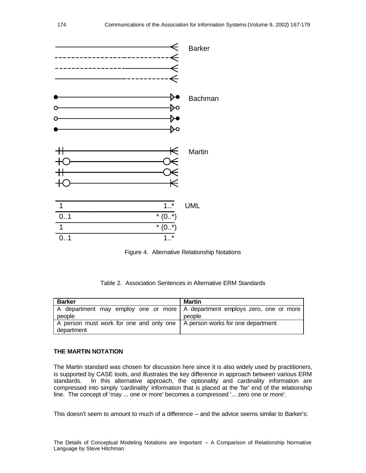

Figure 4. Alternative Relationship Notations

#### Table 2. Association Sentences in Alternative ERM Standards

| <b>Barker</b>                                                                             | <b>Martin</b> |
|-------------------------------------------------------------------------------------------|---------------|
| A department may employ one or more A department employs zero, one or more<br>people      | people        |
| A person must work for one and only one   A person works for one department<br>department |               |

#### **THE MARTIN NOTATION**

The Martin standard was chosen for discussion here since it is also widely used by practitioners, is supported by CASE tools, and illustrates the key difference in approach between various ERM standards. In this alternative approach, the optionality and cardinality information are compressed into simply 'cardinality' information that is placed at the 'far' end of the relationship line. The concept of 'may ... one or more' becomes a compressed '... zero one or more'.

This doesn't seem to amount to much of a difference – and the advice seems similar to Barker's: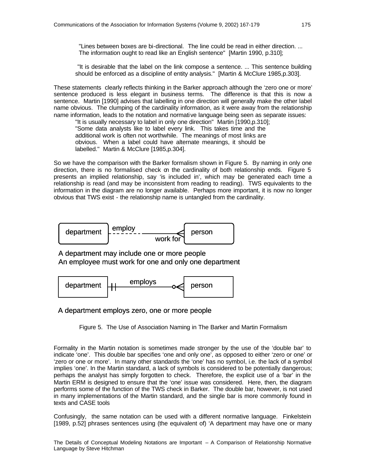"Lines between boxes are bi-directional. The line could be read in either direction. ... The information ought to read like an English sentence" [Martin 1990, p.310];

 "It is desirable that the label on the link compose a sentence. ... This sentence building should be enforced as a discipline of entity analysis." [Martin & McClure 1985,p.303].

These statements clearly reflects thinking in the Barker approach although the 'zero one or more' sentence produced is less elegant in business terms. The difference is that this is now a sentence. Martin [1990] advises that labelling in one direction will generally make the other label name obvious. The clumping of the cardinality information, as it were away from the relationship name information, leads to the notation and normative language being seen as separate issues:

"It is usually necessary to label in only one direction" Martin [1990,p.310]; "Some data analysts like to label every link. This takes time and the additional work is often not worthwhile. The meanings of most links are obvious. When a label could have alternate meanings, it should be labelled." Martin & McClure [1985,p.304].

So we have the comparison with the Barker formalism shown in Figure 5. By naming in only one direction, there is no formalised check on the cardinality of both relationship ends. Figure 5 presents an implied relationship, say 'is included in', which may be generated each time a relationship is read (and may be inconsistent from reading to reading). TWS equivalents to the information in the diagram are no longer available. Perhaps more important, it is now no longer obvious that TWS exist - the relationship name is untangled from the cardinality.



A department may include one or more people An employee must work for one and only one department



#### A department employs zero, one or more people

Figure 5. The Use of Association Naming in The Barker and Martin Formalism

Formality in the Martin notation is sometimes made stronger by the use of the 'double bar' to indicate 'one'. This double bar specifies 'one and only one', as opposed to either 'zero or one' or 'zero or one or more'. In many other standards the 'one' has no symbol, i.e. the lack of a symbol implies 'one'. In the Martin standard, a lack of symbols is considered to be potentially dangerous; perhaps the analyst has simply forgotten to check. Therefore, the explicit use of a 'bar' in the Martin ERM is designed to ensure that the 'one' issue was considered. Here, then, the diagram performs some of the function of the TWS check in Barker. The double bar, however, is not used in many implementations of the Martin standard, and the single bar is more commonly found in texts and CASE tools

Confusingly, the same notation can be used with a different normative language. Finkelstein [1989, p.52] phrases sentences using (the equivalent of) 'A department may have one or many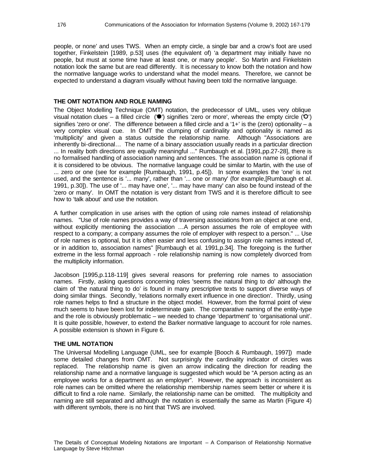people, or none' and uses TWS. When an empty circle, a single bar and a crow's foot are used together, Finkelstein [1989, p.53] uses (the equivalent of) 'a department may initially have no people, but must at some time have at least one, or many people'. So Martin and Finkelstein notation look the same but are read differently. It is necessary to know both the notation and how the normative language works to understand what the model means. Therefore, we cannot be expected to understand a diagram visually without having been told the normative language.

#### **THE OMT NOTATION AND ROLE NAMING**

The Object Modelling Technique (OMT) notation, the predecessor of UML, uses very oblique visual notation clues – a filled circle  $(\bullet)$  signifies 'zero or more', whereas the empty circle  $(\bullet)$ ' signifies 'zero or one'. The difference between a filled circle and a '1+' is the (zero) optionality  $- a$ very complex visual cue. In OMT the clumping of cardinality and optionality is named as 'multiplicity' and given a status outside the relationship name. Although "Associations are inherently bi-directional… The name of a binary association usually reads in a particular direction ... In reality both directions are equally meaningful ..." Rumbaugh et al. [1991,pp.27-28], there is no formalised handling of association naming and sentences. The association name is optional if it is considered to be obvious. The normative language could be similar to Martin, with the use of ... zero or one (see for example [Rumbaugh, 1991, p.45]). In some examples the 'one' is not used, and the sentence is '... many', rather than '... one or many' (for example,[Rumbaugh et al. 1991, p.30]). The use of '... may have one', '... may have many' can also be found instead of the 'zero or many'. In OMT the notation is very distant from TWS and it is therefore difficult to see how to 'talk about' and use the notation.

A further complication in use arises with the option of using role names instead of relationship names. "Use of role names provides a way of traversing associations from an object at one end, without explicitly mentioning the association …A person assumes the role of employee with respect to a company; a company assumes the role of employer with respect to a person." ... Use of role names is optional, but it is often easier and less confusing to assign role names instead of, or in addition to, association names" [Rumbaugh et al. 1991,p.34]. The foregoing is the further extreme in the less formal approach - role relationship naming is now completely divorced from the multiplicity information.

Jacobson [1995,p.118-119] gives several reasons for preferring role names to association names. Firstly, asking questions concerning roles 'seems the natural thing to do' although the claim of 'the natural thing to do' is found in many prescriptive texts to support diverse ways of doing similar things. Secondly, 'relations normally exert influence in one direction'. Thirdly, using role names helps to find a structure in the object model. However, from the formal point of view much seems to have been lost for indeterminate gain. The comparative naming of the entity-type and the role is obviously problematic – we needed to change 'department' to 'organisational unit'. It is quite possible, however, to extend the Barker normative language to account for role names. A possible extension is shown in Figure 6.

#### **THE UML NOTATION**

The Universal Modelling Language (UML, see for example [Booch & Rumbaugh, 1997]) made some detailed changes from OMT. Not surprisingly the cardinality indicator of circles was replaced. The relationship name is given an arrow indicating the direction for reading the relationship name and a normative language is suggested which would be "A person acting as an employee works for a department as an employer". However, the approach is inconsistent as role names can be omitted where the relationship membership names seem better or where it is difficult to find a role name. Similarly, the relationship name can be omitted. The multiplicity and naming are still separated and although the notation is essentially the same as Martin (Figure 4) with different symbols, there is no hint that TWS are involved.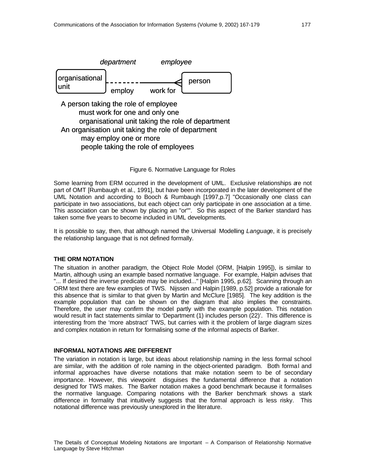

Figure 6. Normative Language for Roles

Some learning from ERM occurred in the development of UML. Exclusive relationships are not part of OMT [Rumbaugh et al., 1991], but have been incorporated in the later development of the UML Notation and according to Booch & Rumbaugh [1997,p.7] "Occasionally one class can participate in two associations, but each object can only participate in one association at a time. This association can be shown by placing an "or"". So this aspect of the Barker standard has taken some five years to become included in UML developments.

It is possible to say, then, that although named the Universal Modelling *Languag*e, it is precisely the relationship language that is not defined formally.

#### **THE ORM NOTATION**

The situation in another paradigm, the Object Role Model (ORM, [Halpin 1995]), is similar to Martin, although using an example based normative language. For example, Halpin advises that "... If desired the inverse predicate may be included..." [Halpin 1995, p.62]. Scanning through an ORM text there are few examples of TWS. Nijssen and Halpin [1989, p.52] provide a rationale for this absence that is similar to that given by Martin and McClure [1985]. The key addition is the example population that can be shown on the diagram that also implies the constraints. Therefore, the user may confirm the model partly with the example population. This notation would result in fact statements similar to 'Department (1) includes person (22)'. This difference is interesting from the 'more abstract' TWS, but carries with it the problem of large diagram sizes and complex notation in return for formalising some of the informal aspects of Barker.

#### **INFORMAL NOTATIONS ARE DIFFERENT**

The variation in notation is large, but ideas about relationship naming in the less formal school are similar, with the addition of role naming in the object-oriented paradigm. Both formal and informal approaches have diverse notations that make notation seem to be of secondary importance. However, this viewpoint disguises the fundamental difference that a notation designed for TWS makes. The Barker notation makes a good benchmark because it formalises the normative language. Comparing notations with the Barker benchmark shows a stark difference in formality that intuitively suggests that the formal approach is less risky. This notational difference was previously unexplored in the literature.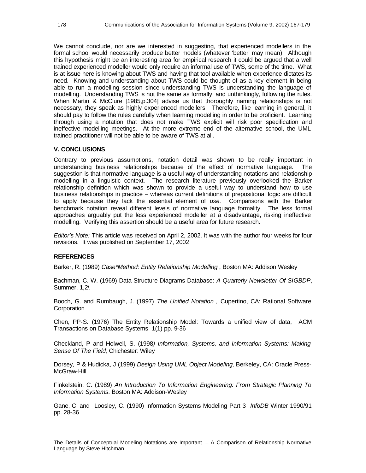We cannot conclude, nor are we interested in suggesting, that experienced modellers in the formal school would necessarily produce better models (whatever 'better' may mean). Although this hypothesis might be an interesting area for empirical research it could be argued that a well trained experienced modeller would only require an informal use of TWS, some of the time. What is at issue here is knowing about TWS and having that tool available when experience dictates its need. Knowing and understanding about TWS could be thought of as a key element in being able to run a modelling session since understanding TWS is understanding the language of modelling. Understanding TWS is not the same as formally, and unthinkingly, following the rules. When Martin & McClure [1985,p.304] advise us that thoroughly naming relationships is not necessary, they speak as highly experienced modellers. Therefore, like learning in general, it should pay to follow the rules carefully when learning modelling in order to be proficient. Learning through using a notation that does not make TWS explicit will risk poor specification and ineffective modelling meetings. At the more extreme end of the alternative school, the UML trained practitioner will not be able to be aware of TWS at all.

#### **V. CONCLUSIONS**

Contrary to previous assumptions, notation detail was shown to be really important in understanding business relationships because of the effect of normative language. The suggestion is that normative language is a useful way of understanding notations and relationship modelling in a linguistic context. The research literature previously overlooked the Barker relationship definition which was shown to provide a useful way to understand how to use business relationships in practice – whereas current definitions of prepositional logic are difficult to apply because they lack the essential element of *use.* Comparisons with the Barker benchmark notation reveal different levels of normative language formality. The less formal approaches arguably put the less experienced modeller at a disadvantage, risking ineffective modelling. Verifying this assertion should be a useful area for future research.

*Editor's Note:* This article was received on April 2, 2002. It was with the author four weeks for four revisions. It was published on September 17, 2002

#### **REFERENCES**

Barker, R. (1989) *Case\*Method: Entity Relationship Modelling* , Boston MA: Addison Wesley

Bachman, C. W. (1969) Data Structure Diagrams Database: *A Quarterly Newsletter Of SIGBDP*, Summer, **1**,2\

Booch, G. and Rumbaugh, J. (1997) *The Unified Notation* , Cupertino, CA: Rational Software **Corporation** 

Chen, PP-S. (1976) The Entity Relationship Model: Towards a unified view of data, ACM Transactions on Database Systems 1(1) pp. 9-36

Checkland, P and Holwell, S. (1998*) Information, Systems, and Information Systems: Making Sense Of The Field*, Chichester: Wiley

Dorsey, P & Hudicka, J (1999) *Design Using UML Object Modeling*, Berkeley, CA: Oracle Press-McGraw-Hill

Finkelstein, C. (1989) *An Introduction To Information Engineering: From Strategic Planning To Information Systems*. Boston MA: Addison-Wesley

Gane, C. and Loosley, C. (1990) Information Systems Modeling Part 3 *InfoDB* Winter 1990/91 pp. 28-36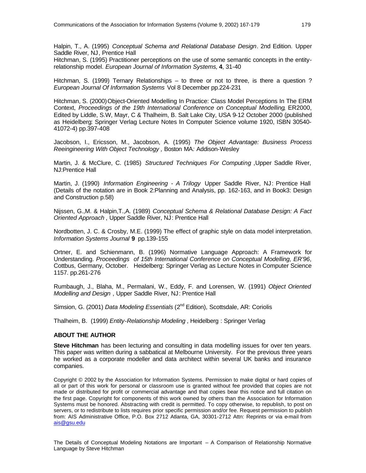Halpin, T., A. (1995) *Conceptual Schema and Relational Database Design*. 2nd Edition. Upper Saddle River, NJ, Prentice Hall

Hitchman, S. (1995) Practitioner perceptions on the use of some semantic concepts in the entityrelationship model. *European Journal of Information Systems,* **4**, 31-40

Hitchman, S. (1999) Ternary Relationships – to three or not to three, is there a question ? *European Journal Of Information Systems* Vol 8 December pp.224-231

Hitchman, S. (2000)Object-Oriented Modelling In Practice: Class Model Perceptions In The ERM Context, *Proceedings of the 19th International Conference on Conceptual Modelling*, ER2000, Edited by Liddle, S.W, Mayr, C & Thalheim, B. Salt Lake City, USA 9-12 October 2000 (published as Heidelberg: Springer Verlag Lecture Notes In Computer Science volume 1920, ISBN 30540- 41072-4) pp.397-408

Jacobson, I., Ericsson, M., Jacobson, A. (1995) *The Object Advantage: Business Process Reeingineering With Object Technology ,* Boston MA*:* Addison-Wesley

Martin, J. & McClure, C. (1985) *Structured Techniques For Computing* ,Upper Saddle River, NJ:Prentice Hall

Martin, J. (1990) *Information Engineering - A Trilogy* Upper Saddle River, NJ: Prentice Hall (Details of the notation are in Book 2:Planning and Analysis, pp. 162-163, and in Book3: Design and Construction p.58)

Nijssen, G.,M. & Halpin,T.,A. (1989) *Conceptual Schema & Relational Database Design: A Fact Oriented Approach* , Upper Saddle River, NJ: Prentice Hall

Nordbotten, J. C. & Crosby, M.E. (1999) The effect of graphic style on data model interpretation. *Information Systems Journal* **9** pp.139-155

Ortner, E. and Schienmann, B. (1996) Normative Language Approach: A Framework for Understanding. *Proceedings of 15th International Conference on Conceptual Modelling, ER'96*, Cottbus, Germany, October. Heidelberg: Springer Verlag as Lecture Notes in Computer Science 1157. pp.261-276

Rumbaugh, J., Blaha, M., Permalani, W., Eddy, F. and Lorensen, W. (1991) *Object Oriented Modelling and Design* , Upper Saddle River, NJ: Prentice Hall

Simsion, G. (2001) *Data Modeling Essentials* (2<sup>nd</sup> Edition), Scottsdale, AR: Coriolis

Thalheim, B. (1999) *Entity-Relationship Modeling* , Heidelberg : Springer Verlag

#### **ABOUT THE AUTHOR**

**Steve Hitchman** has been lecturing and consulting in data modelling issues for over ten years. This paper was written during a sabbatical at Melbourne University. For the previous three years he worked as a corporate modeller and data architect within several UK banks and insurance companies.

Copyright © 2002 by the Association for Information Systems. Permission to make digital or hard copies of all or part of this work for personal or classroom use is granted without fee provided that copies are not made or distributed for profit or commercial advantage and that copies bear this notice and full citation on the first page. Copyright for components of this work owned by others than the Association for Information Systems must be honored. Abstracting with credit is permitted. To copy otherwise, to republish, to post on servers, or to redistribute to lists requires prior specific permission and/or fee. Request permission to publish from: AIS Administrative Office, P.O. Box 2712 Atlanta, GA, 30301-2712 Attn: Reprints or via e-mail from ais@gsu.edu